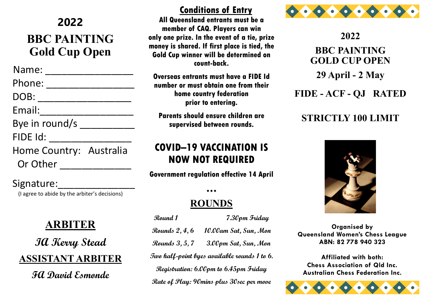### **2022**

# **BBC PAINTING Gold Cup Open**

 Name: \_\_\_\_\_\_\_\_\_\_\_\_\_\_\_\_ Phone: \_\_\_\_\_\_\_\_\_\_\_\_\_\_\_\_ DOB: \_\_\_\_\_\_\_\_\_\_\_\_\_\_\_\_\_ Email:\_\_\_\_\_\_\_\_\_\_\_\_\_\_\_\_\_ Bye in round/s \_\_\_\_\_\_\_\_\_\_\_\_\_ FIDE Id: \_\_\_\_\_\_\_\_\_\_\_\_\_\_\_ Home Country: Australia Or Other **No. 1988** 

#### Signature:

(I agree to abide by the arbiter's decisions)

## **ARBITER**

**IA Kerry Stead ASSISTANT ARBITER**

**FA David Esmonde**

#### **Conditions of Entry**

**All Queensland entrants must be a member of CAQ. Players can win only one prize. In the event of a tie, prize money is shared. If first place is tied, the Gold Cup winner will be determined on count-back.**

**Overseas entrants must have a FIDE Id number or must obtain one from their home country federation prior to entering.**

**Parents should ensure children are supervised between rounds.**

## **COVID–19 VACCINATION IS NOW NOT REQUIRED**

**Government regulation effective 14 April**

## **ROUNDS**

 $\bullet\bullet\bullet$ 

**Round 1 7.30pm Friday Rounds 2, 4, 6 10.00am Sat, Sun, Mon Rounds 3, 5, 7 3.00pm Sat, Sun, Mon Two half-point byes available rounds 1 to 6. Registration: 6.00pm to 6.45pm Friday Rate of Play: 90mins plus 30sec per move** 



**2022 BBC PAINTING GOLD CUP OPEN 29 April - 2 May FIDE - ACF - QJ RATED**

### **STRICTLY 100 LIMIT**



**Organised by Queensland Women's Chess League ABN: 82 778 940 323**

**Affiliated with both: Chess Association of Qld Inc. Australian Chess Federation Inc.**